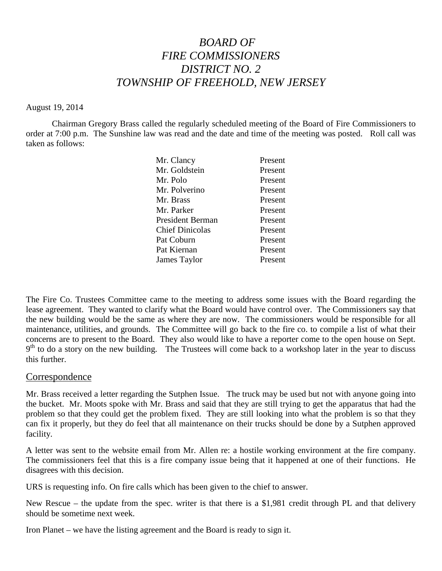# *BOARD OF FIRE COMMISSIONERS DISTRICT NO. 2 TOWNSHIP OF FREEHOLD, NEW JERSEY*

#### August 19, 2014

Chairman Gregory Brass called the regularly scheduled meeting of the Board of Fire Commissioners to order at 7:00 p.m. The Sunshine law was read and the date and time of the meeting was posted. Roll call was taken as follows:

| Mr. Clancy             | Present |
|------------------------|---------|
| Mr. Goldstein          | Present |
| Mr. Polo               | Present |
| Mr. Polverino          | Present |
| Mr. Brass              | Present |
| Mr. Parker             | Present |
| President Berman       | Present |
| <b>Chief Dinicolas</b> | Present |
| Pat Coburn             | Present |
| Pat Kiernan            | Present |
| James Taylor           | Present |
|                        |         |

The Fire Co. Trustees Committee came to the meeting to address some issues with the Board regarding the lease agreement. They wanted to clarify what the Board would have control over. The Commissioners say that the new building would be the same as where they are now. The commissioners would be responsible for all maintenance, utilities, and grounds. The Committee will go back to the fire co. to compile a list of what their concerns are to present to the Board. They also would like to have a reporter come to the open house on Sept. 9<sup>th</sup> to do a story on the new building. The Trustees will come back to a workshop later in the year to discuss this further.

#### Correspondence

Mr. Brass received a letter regarding the Sutphen Issue. The truck may be used but not with anyone going into the bucket. Mr. Moots spoke with Mr. Brass and said that they are still trying to get the apparatus that had the problem so that they could get the problem fixed. They are still looking into what the problem is so that they can fix it properly, but they do feel that all maintenance on their trucks should be done by a Sutphen approved facility.

A letter was sent to the website email from Mr. Allen re: a hostile working environment at the fire company. The commissioners feel that this is a fire company issue being that it happened at one of their functions. He disagrees with this decision.

URS is requesting info. On fire calls which has been given to the chief to answer.

New Rescue – the update from the spec. writer is that there is a \$1,981 credit through PL and that delivery should be sometime next week.

Iron Planet – we have the listing agreement and the Board is ready to sign it.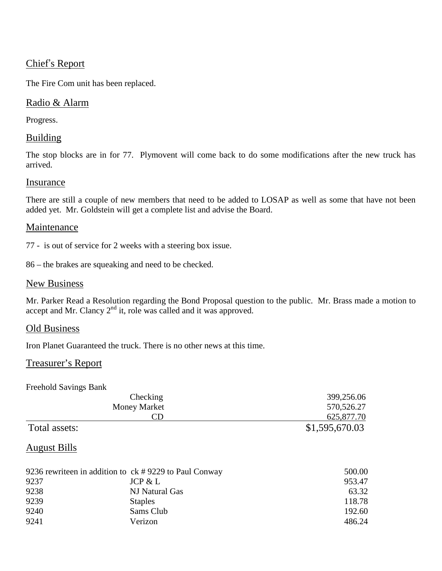# Chief's Report

The Fire Com unit has been replaced.

## Radio & Alarm

Progress.

## **Building**

The stop blocks are in for 77. Plymovent will come back to do some modifications after the new truck has arrived.

### Insurance

There are still a couple of new members that need to be added to LOSAP as well as some that have not been added yet. Mr. Goldstein will get a complete list and advise the Board.

#### Maintenance

77 - is out of service for 2 weeks with a steering box issue.

86 – the brakes are squeaking and need to be checked.

#### New Business

Mr. Parker Read a Resolution regarding the Bond Proposal question to the public. Mr. Brass made a motion to accept and Mr. Clancy  $2<sup>nd</sup>$  it, role was called and it was approved.

### Old Business

Iron Planet Guaranteed the truck. There is no other news at this time.

### Treasurer's Report

Freehold Savings Bank

| Checking            | 399,256.06     |
|---------------------|----------------|
| <b>Money Market</b> | 570,526.27     |
| CD                  | 625,877.70     |
| Total assets:       | \$1,595,670.03 |

# August Bills

| 9236 rewriteen in addition to $ck \# 9229$ to Paul Conway |                | 500.00 |
|-----------------------------------------------------------|----------------|--------|
| 9237                                                      | JCP & L        | 953.47 |
| 9238                                                      | NJ Natural Gas | 63.32  |
| 9239                                                      | <b>Staples</b> | 118.78 |
| 9240                                                      | Sams Club      | 192.60 |
| 9241                                                      | Verizon        | 486.24 |